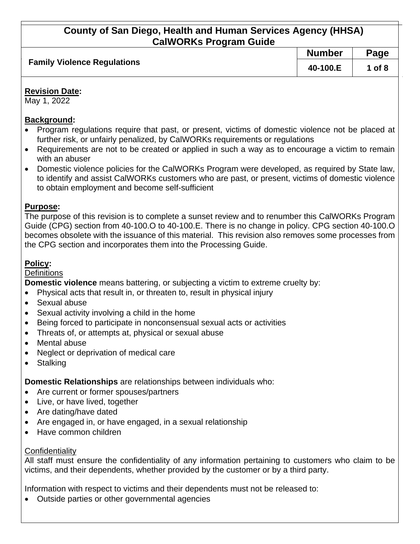| <b>Family Violence Regulations</b> | <b>Number</b> | Page     |
|------------------------------------|---------------|----------|
|                                    | 40-100.E      | 1 of $8$ |

#### **Revision Date:**

May 1, 2022

### **Background:**

- Program regulations require that past, or present, victims of domestic violence not be placed at further risk, or unfairly penalized, by CalWORKs requirements or regulations
- Requirements are not to be created or applied in such a way as to encourage a victim to remain with an abuser
- Domestic violence policies for the CalWORKs Program were developed, as required by State law, to identify and assist CalWORKs customers who are past, or present, victims of domestic violence to obtain employment and become self-sufficient

## **Purpose:**

The purpose of this revision is to complete a sunset review and to renumber this CalWORKs Program Guide (CPG) section from 40-100.O to 40-100.E. There is no change in policy. CPG section 40-100.O becomes obsolete with the issuance of this material. This revision also removes some processes from the CPG section and incorporates them into the Processing Guide.

## **Policy:**

### **Definitions**

**Domestic violence** means battering, or subjecting a victim to extreme cruelty by:

- Physical acts that result in, or threaten to, result in physical injury
- Sexual abuse
- Sexual activity involving a child in the home
- Being forced to participate in nonconsensual sexual acts or activities
- Threats of, or attempts at, physical or sexual abuse
- Mental abuse
- Neglect or deprivation of medical care
- Stalking

**Domestic Relationships** are relationships between individuals who:

- Are current or former spouses/partners
- Live, or have lived, together
- Are dating/have dated
- Are engaged in, or have engaged, in a sexual relationship
- Have common children

## **Confidentiality**

All staff must ensure the confidentiality of any information pertaining to customers who claim to be victims, and their dependents, whether provided by the customer or by a third party.

Information with respect to victims and their dependents must not be released to:

• Outside parties or other governmental agencies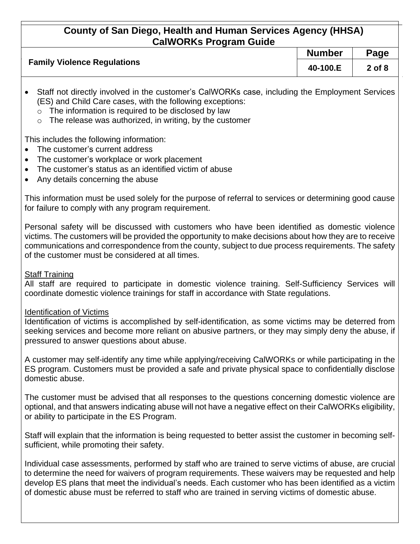|                                    | <b>Number</b> | Page       |
|------------------------------------|---------------|------------|
| <b>Family Violence Regulations</b> | 40-100.E      | $2$ of $8$ |

- Staff not directly involved in the customer's CalWORKs case, including the Employment Services (ES) and Child Care cases, with the following exceptions:
	- $\circ$  The information is required to be disclosed by law
	- $\circ$  The release was authorized, in writing, by the customer

### This includes the following information:

- The customer's current address
- The customer's workplace or work placement
- The customer's status as an identified victim of abuse
- Any details concerning the abuse

This information must be used solely for the purpose of referral to services or determining good cause for failure to comply with any program requirement.

Personal safety will be discussed with customers who have been identified as domestic violence victims. The customers will be provided the opportunity to make decisions about how they are to receive communications and correspondence from the county, subject to due process requirements. The safety of the customer must be considered at all times.

#### Staff Training

All staff are required to participate in domestic violence training. Self-Sufficiency Services will coordinate domestic violence trainings for staff in accordance with State regulations.

#### Identification of Victims

Identification of victims is accomplished by self-identification, as some victims may be deterred from seeking services and become more reliant on abusive partners, or they may simply deny the abuse, if pressured to answer questions about abuse.

A customer may self-identify any time while applying/receiving CalWORKs or while participating in the ES program. Customers must be provided a safe and private physical space to confidentially disclose domestic abuse.

The customer must be advised that all responses to the questions concerning domestic violence are optional, and that answers indicating abuse will not have a negative effect on their CalWORKs eligibility, or ability to participate in the ES Program.

Staff will explain that the information is being requested to better assist the customer in becoming selfsufficient, while promoting their safety.

Individual case assessments, performed by staff who are trained to serve victims of abuse, are crucial to determine the need for waivers of program requirements. These waivers may be requested and help develop ES plans that meet the individual's needs. Each customer who has been identified as a victim of domestic abuse must be referred to staff who are trained in serving victims of domestic abuse.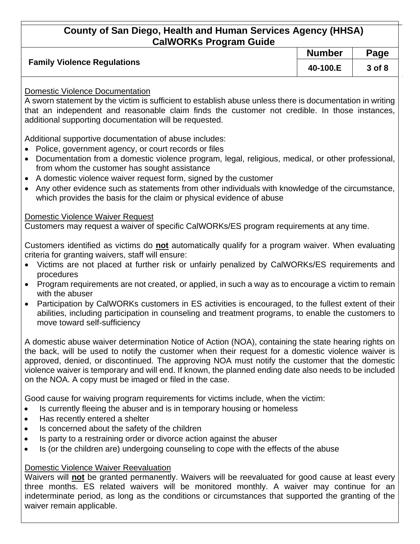|                                    | <b>Number</b> | Page   |
|------------------------------------|---------------|--------|
| <b>Family Violence Regulations</b> | 40-100.E      | 3 of 8 |

### Domestic Violence Documentation

A sworn statement by the victim is sufficient to establish abuse unless there is documentation in writing that an independent and reasonable claim finds the customer not credible. In those instances, additional supporting documentation will be requested.

Additional supportive documentation of abuse includes:

- Police, government agency, or court records or files
- Documentation from a domestic violence program, legal, religious, medical, or other professional, from whom the customer has sought assistance
- A domestic violence waiver request form, signed by the customer
- Any other evidence such as statements from other individuals with knowledge of the circumstance, which provides the basis for the claim or physical evidence of abuse

### Domestic Violence Waiver Request

Customers may request a waiver of specific CalWORKs/ES program requirements at any time.

Customers identified as victims do **not** automatically qualify for a program waiver. When evaluating criteria for granting waivers, staff will ensure:

- Victims are not placed at further risk or unfairly penalized by CalWORKs/ES requirements and procedures
- Program requirements are not created, or applied, in such a way as to encourage a victim to remain with the abuser
- Participation by CalWORKs customers in ES activities is encouraged, to the fullest extent of their abilities, including participation in counseling and treatment programs, to enable the customers to move toward self-sufficiency

A domestic abuse waiver determination Notice of Action (NOA), containing the state hearing rights on the back, will be used to notify the customer when their request for a domestic violence waiver is approved, denied, or discontinued. The approving NOA must notify the customer that the domestic violence waiver is temporary and will end. If known, the planned ending date also needs to be included on the NOA. A copy must be imaged or filed in the case.

Good cause for waiving program requirements for victims include, when the victim:

- Is currently fleeing the abuser and is in temporary housing or homeless
- Has recently entered a shelter
- Is concerned about the safety of the children
- Is party to a restraining order or divorce action against the abuser
- Is (or the children are) undergoing counseling to cope with the effects of the abuse

### Domestic Violence Waiver Reevaluation

Waivers will **not** be granted permanently. Waivers will be reevaluated for good cause at least every three months. ES related waivers will be monitored monthly. A waiver may continue for an indeterminate period, as long as the conditions or circumstances that supported the granting of the waiver remain applicable.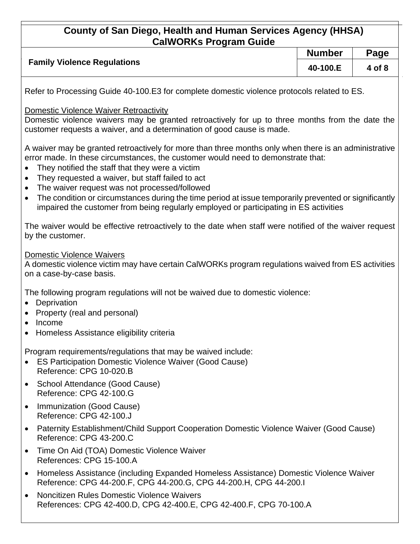|                                    | <b>Number</b> | Page   |
|------------------------------------|---------------|--------|
| <b>Family Violence Regulations</b> | 40-100.E      | 4 of 8 |
|                                    |               |        |

Refer to Processing Guide 40-100.E3 for complete domestic violence protocols related to ES.

### Domestic Violence Waiver Retroactivity

Domestic violence waivers may be granted retroactively for up to three months from the date the customer requests a waiver, and a determination of good cause is made.

A waiver may be granted retroactively for more than three months only when there is an administrative error made. In these circumstances, the customer would need to demonstrate that:

- They notified the staff that they were a victim
- They requested a waiver, but staff failed to act
- The waiver request was not processed/followed
- The condition or circumstances during the time period at issue temporarily prevented or significantly impaired the customer from being regularly employed or participating in ES activities

The waiver would be effective retroactively to the date when staff were notified of the waiver request by the customer.

### Domestic Violence Waivers

A domestic violence victim may have certain CalWORKs program regulations waived from ES activities on a case-by-case basis.

The following program regulations will not be waived due to domestic violence:

- Deprivation
- Property (real and personal)
- Income
- Homeless Assistance eligibility criteria

Program requirements/regulations that may be waived include:

- ES Participation Domestic Violence Waiver (Good Cause) Reference: CPG 10-020.B
- School Attendance (Good Cause) Reference: CPG 42-100.G
- Immunization (Good Cause) Reference: CPG 42-100.J
- Paternity Establishment/Child Support Cooperation Domestic Violence Waiver (Good Cause) Reference: CPG 43-200.C
- Time On Aid (TOA) Domestic Violence Waiver References: CPG 15-100.A
- Homeless Assistance (including Expanded Homeless Assistance) Domestic Violence Waiver Reference: CPG 44-200.F, CPG 44-200.G, CPG 44-200.H, CPG 44-200.I
- Noncitizen Rules Domestic Violence Waivers References: CPG 42-400.D, CPG 42-400.E, CPG 42-400.F, CPG 70-100.A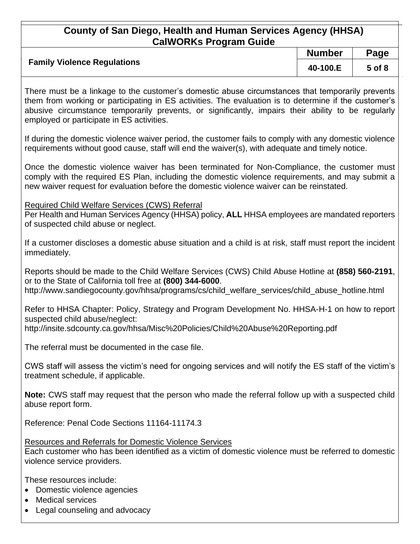|                                    | <b>Number</b> | Page   |
|------------------------------------|---------------|--------|
| <b>Family Violence Regulations</b> | 40-100.E      | 5 of 8 |

There must be a linkage to the customer's domestic abuse circumstances that temporarily prevents them from working or participating in ES activities. The evaluation is to determine if the customer's abusive circumstance temporarily prevents, or significantly, impairs their ability to be regularly employed or participate in ES activities.

If during the domestic violence waiver period, the customer fails to comply with any domestic violence requirements without good cause, staff will end the waiver(s), with adequate and timely notice.

Once the domestic violence waiver has been terminated for Non-Compliance, the customer must comply with the required ES Plan, including the domestic violence requirements, and may submit a new waiver request for evaluation before the domestic violence waiver can be reinstated.

Required Child Welfare Services (CWS) Referral

Per Health and Human Services Agency (HHSA) policy, **ALL** HHSA employees are mandated reporters of suspected child abuse or neglect.

If a customer discloses a domestic abuse situation and a child is at risk, staff must report the incident immediately.

Reports should be made to the Child Welfare Services (CWS) Child Abuse Hotline at **(858) 560-2191**, or to the State of California toll free at **(800) 344-6000**. http://www.sandiegocounty.gov/hhsa/programs/cs/child\_welfare\_services/child\_abuse\_hotline.html

Refer to HHSA Chapter: Policy, Strategy and Program Development No. HHSA-H-1 on how to report suspected child abuse/neglect:

http://insite.sdcounty.ca.gov/hhsa/Misc%20Policies/Child%20Abuse%20Reporting.pdf

The referral must be documented in the case file.

CWS staff will assess the victim's need for ongoing services and will notify the ES staff of the victim's treatment schedule, if applicable.

**Note:** CWS staff may request that the person who made the referral follow up with a suspected child abuse report form.

Reference: Penal Code Sections 11164-11174.3

Resources and Referrals for Domestic Violence Services Each customer who has been identified as a victim of domestic violence must be referred to domestic violence service providers.

These resources include:

- Domestic violence agencies
- Medical services
- Legal counseling and advocacy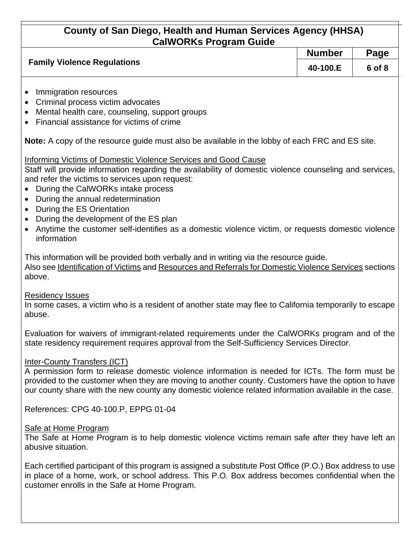|                                    | <b>Number</b> | Page   |
|------------------------------------|---------------|--------|
| <b>Family Violence Regulations</b> | 40-100.E      | 6 of 8 |

- Immigration resources
- Criminal process victim advocates
- Mental health care, counseling, support groups
- Financial assistance for victims of crime

**Note:** A copy of the resource guide must also be available in the lobby of each FRC and ES site.

### Informing Victims of Domestic Violence Services and Good Cause

Staff will provide information regarding the availability of domestic violence counseling and services, and refer the victims to services upon request:

- During the CalWORKs intake process
- During the annual redetermination
- During the ES Orientation
- During the development of the ES plan
- Anytime the customer self-identifies as a domestic violence victim, or requests domestic violence information

This information will be provided both verbally and in writing via the resource guide. Also see Identification of Victims and Resources and Referrals for Domestic Violence Services sections above.

#### Residency Issues

In some cases, a victim who is a resident of another state may flee to California temporarily to escape abuse.

Evaluation for waivers of immigrant-related requirements under the CalWORKs program and of the state residency requirement requires approval from the Self-Sufficiency Services Director.

#### Inter-County Transfers (ICT)

A permission form to release domestic violence information is needed for ICTs. The form must be provided to the customer when they are moving to another county. Customers have the option to have our county share with the new county any domestic violence related information available in the case.

References: CPG 40-100.P, EPPG 01-04

#### Safe at Home Program

The Safe at Home Program is to help domestic violence victims remain safe after they have left an abusive situation.

Each certified participant of this program is assigned a substitute Post Office (P.O.) Box address to use in place of a home, work, or school address. This P.O. Box address becomes confidential when the customer enrolls in the Safe at Home Program.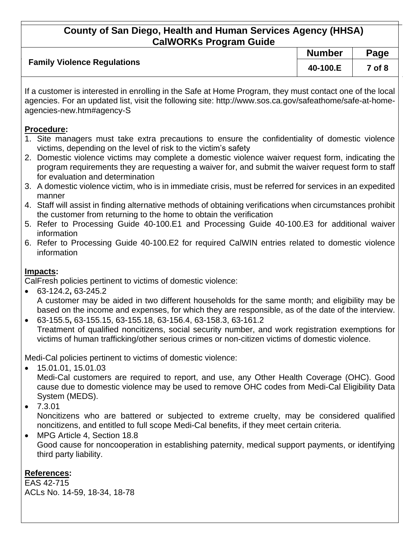|                                    | <b>Number</b> | Page       |
|------------------------------------|---------------|------------|
| <b>Family Violence Regulations</b> | 40-100.E      | $7$ of $8$ |

If a customer is interested in enrolling in the Safe at Home Program, they must contact one of the local agencies. For an updated list, visit the following site: http://www.sos.ca.gov/safeathome/safe-at-homeagencies-new.htm#agency-S

### **Procedure:**

- 1. Site managers must take extra precautions to ensure the confidentiality of domestic violence victims, depending on the level of risk to the victim's safety
- 2. Domestic violence victims may complete a domestic violence waiver request form, indicating the program requirements they are requesting a waiver for, and submit the waiver request form to staff for evaluation and determination
- 3. A domestic violence victim, who is in immediate crisis, must be referred for services in an expedited manner
- 4. Staff will assist in finding alternative methods of obtaining verifications when circumstances prohibit the customer from returning to the home to obtain the verification
- 5. Refer to Processing Guide 40-100.E1 and Processing Guide 40-100.E3 for additional waiver information
- 6. Refer to Processing Guide 40-100.E2 for required CalWIN entries related to domestic violence information

### **Impacts:**

CalFresh policies pertinent to victims of domestic violence:

- 63-124.2**,** 63-245.2 A customer may be aided in two different households for the same month; and eligibility may be based on the income and expenses, for which they are responsible, as of the date of the interview.
- 63-155.5**,** 63-155.15, 63-155.18, 63-156.4, 63-158.3, 63-161.2 Treatment of qualified noncitizens, social security number, and work registration exemptions for victims of human trafficking/other serious crimes or non-citizen victims of domestic violence.

Medi-Cal policies pertinent to victims of domestic violence:

• 15.01.01, 15.01.03

Medi-Cal customers are required to report, and use, any Other Health Coverage (OHC). Good cause due to domestic violence may be used to remove OHC codes from Medi-Cal Eligibility Data System (MEDS).

 $• 7.3.01$ 

Noncitizens who are battered or subjected to extreme cruelty, may be considered qualified noncitizens, and entitled to full scope Medi-Cal benefits, if they meet certain criteria.

• MPG Article 4, Section 18.8 Good cause for noncooperation in establishing paternity, medical support payments, or identifying third party liability.

## **References:**

EAS 42-715 ACLs No. 14-59, 18-34, 18-78